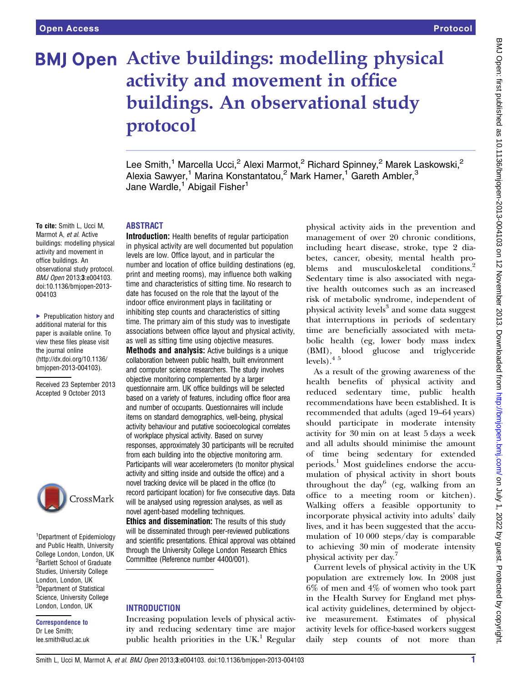# **BMJ Open Active buildings: modelling physical** activity and movement in office buildings. An observational study protocol

Lee Smith,<sup>1</sup> Marcella Ucci,<sup>2</sup> Alexi Marmot,<sup>2</sup> Richard Spinney,<sup>2</sup> Marek Laskowski,<sup>2</sup> Alexia Sawyer,<sup>1</sup> Marina Konstantatou,<sup>2</sup> Mark Hamer,<sup>1</sup> Gareth Ambler,<sup>3</sup> Jane Wardle,<sup>1</sup> Abigail Fisher<sup>1</sup>

# ABSTRACT

Introduction: Health benefits of regular participation in physical activity are well documented but population levels are low. Office layout, and in particular the number and location of office building destinations (eg, print and meeting rooms), may influence both walking time and characteristics of sitting time. No research to date has focused on the role that the layout of the indoor office environment plays in facilitating or inhibiting step counts and characteristics of sitting time. The primary aim of this study was to investigate associations between office layout and physical activity, as well as sitting time using objective measures.

**Methods and analysis:** Active buildings is a unique collaboration between public health, built environment and computer science researchers. The study involves objective monitoring complemented by a larger questionnaire arm. UK office buildings will be selected based on a variety of features, including office floor area and number of occupants. Questionnaires will include items on standard demographics, well-being, physical activity behaviour and putative socioecological correlates of workplace physical activity. Based on survey responses, approximately 30 participants will be recruited from each building into the objective monitoring arm. Participants will wear accelerometers (to monitor physical activity and sitting inside and outside the office) and a novel tracking device will be placed in the office (to record participant location) for five consecutive days. Data will be analysed using regression analyses, as well as novel agent-based modelling techniques.

**Ethics and dissemination:** The results of this study will be disseminated through peer-reviewed publications and scientific presentations. Ethical approval was obtained through the University College London Research Ethics Committee (Reference number 4400/001).

# **INTRODUCTION**

Increasing population levels of physical activity and reducing sedentary time are major public health priorities in the  $UK<sup>1</sup>$  Regular

physical activity aids in the prevention and management of over 20 chronic conditions, including heart disease, stroke, type 2 diabetes, cancer, obesity, mental health problems and musculoskeletal conditions.<sup>2</sup> Sedentary time is also associated with negative health outcomes such as an increased risk of metabolic syndrome, independent of physical activity levels<sup>3</sup> and some data suggest that interruptions in periods of sedentary time are beneficially associated with metabolic health (eg, lower body mass index (BMI), blood glucose and triglyceride levels).4 5

As a result of the growing awareness of the health benefits of physical activity and reduced sedentary time, public health recommendations have been established. It is recommended that adults (aged 19–64 years) should participate in moderate intensity activity for 30 min on at least 5 days a week and all adults should minimise the amount of time being sedentary for extended periods.<sup>1</sup> Most guidelines endorse the accumulation of physical activity in short bouts throughout the day<sup>6</sup> (eg, walking from an office to a meeting room or kitchen). Walking offers a feasible opportunity to incorporate physical activity into adults' daily lives, and it has been suggested that the accumulation of 10 000 steps/day is comparable to achieving 30 min of moderate intensity physical activity per day.<sup>7</sup>

Current levels of physical activity in the UK population are extremely low. In 2008 just 6% of men and 4% of women who took part in the Health Survey for England met physical activity guidelines, determined by objective measurement. Estimates of physical activity levels for office-based workers suggest daily step counts of not more than

To cite: Smith L, Ucci M, Marmot A, et al. Active buildings: modelling physical activity and movement in office buildings. An observational study protocol. BMJ Open 2013;3:e004103. doi:10.1136/bmjopen-2013- 004103

▶ Prepublication history and additional material for this paper is available online. To view these files please visit the journal online [\(http://dx.doi.org/10.1136/](http://dx.doi.org/10.1136/bmjopen-2013-004103) [bmjopen-2013-004103](http://dx.doi.org/10.1136/bmjopen-2013-004103)).

Received 23 September 2013 Accepted 9 October 2013



<sup>1</sup>Department of Epidemiology and Public Health, University College London, London, UK <sup>2</sup> Bartlett School of Graduate Studies, University College London, London, UK <sup>3</sup>Department of Statistical Science, University College London, London, UK

Correspondence to Dr Lee Smith; lee.smith@ucl.ac.uk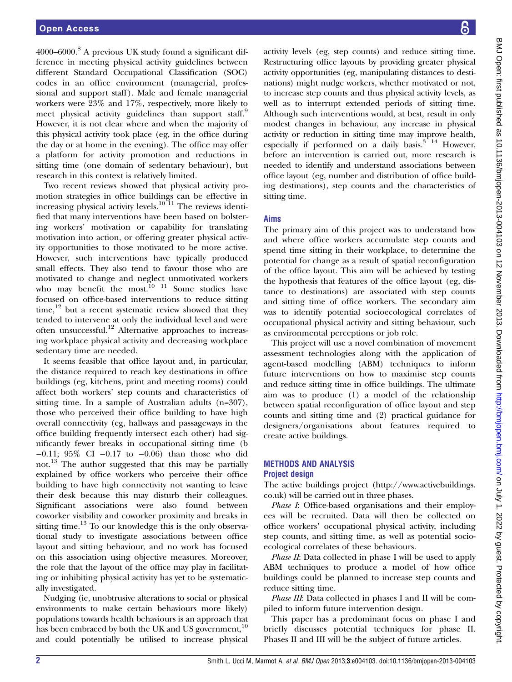4000–6000.<sup>8</sup> A previous UK study found a significant difference in meeting physical activity guidelines between different Standard Occupational Classification (SOC) codes in an office environment (managerial, professional and support staff). Male and female managerial workers were 23% and 17%, respectively, more likely to meet physical activity guidelines than support staff.<sup>9</sup> However, it is not clear where and when the majority of this physical activity took place (eg, in the office during the day or at home in the evening). The office may offer a platform for activity promotion and reductions in sitting time (one domain of sedentary behaviour), but research in this context is relatively limited.

Two recent reviews showed that physical activity promotion strategies in office buildings can be effective in increasing physical activity levels.<sup>10 11</sup> The reviews identified that many interventions have been based on bolstering workers' motivation or capability for translating motivation into action, or offering greater physical activity opportunities to those motivated to be more active. However, such interventions have typically produced small effects. They also tend to favour those who are motivated to change and neglect unmotivated workers who may benefit the most.<sup>10</sup> <sup>11</sup> Some studies have focused on office-based interventions to reduce sitting time, $12$  but a recent systematic review showed that they tended to intervene at only the individual level and were often unsuccessful.<sup>12</sup> Alternative approaches to increasing workplace physical activity and decreasing workplace sedentary time are needed.

It seems feasible that office layout and, in particular, the distance required to reach key destinations in office buildings (eg, kitchens, print and meeting rooms) could affect both workers' step counts and characteristics of sitting time. In a sample of Australian adults (n=307), those who perceived their office building to have high overall connectivity (eg, hallways and passageways in the office building frequently intersect each other) had significantly fewer breaks in occupational sitting time (b −0.11; 95% CI −0.17 to −0.06) than those who did not.13 The author suggested that this may be partially explained by office workers who perceive their office building to have high connectivity not wanting to leave their desk because this may disturb their colleagues. Significant associations were also found between coworker visibility and coworker proximity and breaks in sitting time.<sup>13</sup> To our knowledge this is the only observational study to investigate associations between office layout and sitting behaviour, and no work has focused on this association using objective measures. Moreover, the role that the layout of the office may play in facilitating or inhibiting physical activity has yet to be systematically investigated.

Nudging (ie, unobtrusive alterations to social or physical environments to make certain behaviours more likely) populations towards health behaviours is an approach that has been embraced by both the UK and US government,<sup>10</sup> and could potentially be utilised to increase physical BMJ Open: first published as 10.1136/bmijopen-2013-004103 on 12 November 2013. Downloaded from http://bmjopen.bmj.com/ on July 1, 2022 by guest. Protected by copyright BMJ Open: first published as 10.1136/bmjopen-2013-004103 on 12 November 2013. Downloaded from <http://bmjopen.bmj.com/> on July 1, 2022 by guest. Protected by copyright.

activity levels (eg, step counts) and reduce sitting time. Restructuring office layouts by providing greater physical activity opportunities (eg, manipulating distances to destinations) might nudge workers, whether motivated or not, to increase step counts and thus physical activity levels, as well as to interrupt extended periods of sitting time. Although such interventions would, at best, result in only modest changes in behaviour, any increase in physical activity or reduction in sitting time may improve health, especially if performed on a daily basis. $3^{2}$  14 However, before an intervention is carried out, more research is needed to identify and understand associations between office layout (eg, number and distribution of office building destinations), step counts and the characteristics of sitting time.

# Aims

The primary aim of this project was to understand how and where office workers accumulate step counts and spend time sitting in their workplace, to determine the potential for change as a result of spatial reconfiguration of the office layout. This aim will be achieved by testing the hypothesis that features of the office layout (eg, distance to destinations) are associated with step counts and sitting time of office workers. The secondary aim was to identify potential socioecological correlates of occupational physical activity and sitting behaviour, such as environmental perceptions or job role.

This project will use a novel combination of movement assessment technologies along with the application of agent-based modelling (ABM) techniques to inform future interventions on how to maximise step counts and reduce sitting time in office buildings. The ultimate aim was to produce (1) a model of the relationship between spatial reconfiguration of office layout and step counts and sitting time and (2) practical guidance for designers/organisations about features required to create active buildings.

# METHODS AND ANALYSIS Project design

The active buildings project [\(http://www.activebuildings.](http://www.activebuildings.co.uk) [co.uk\)](http://www.activebuildings.co.uk) will be carried out in three phases.

Phase I: Office-based organisations and their employees will be recruited. Data will then be collected on office workers' occupational physical activity, including step counts, and sitting time, as well as potential socioecological correlates of these behaviours.

Phase II: Data collected in phase I will be used to apply ABM techniques to produce a model of how office buildings could be planned to increase step counts and reduce sitting time.

Phase III: Data collected in phases I and II will be compiled to inform future intervention design.

This paper has a predominant focus on phase I and briefly discusses potential techniques for phase II. Phases II and III will be the subject of future articles.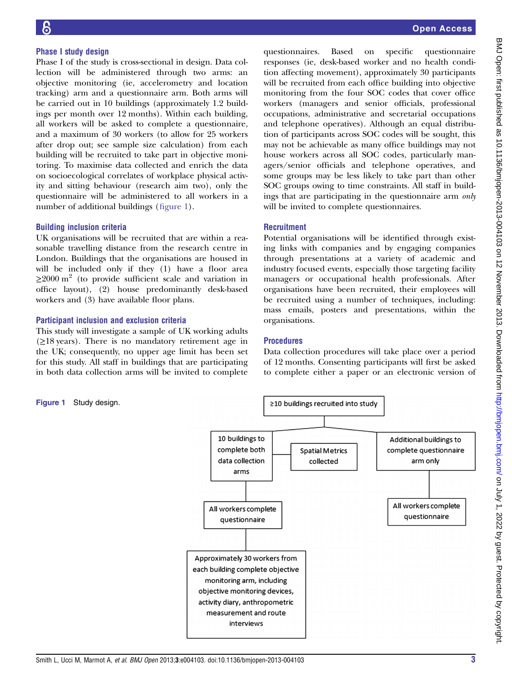#### Phase I study design

Phase I of the study is cross-sectional in design. Data collection will be administered through two arms: an objective monitoring (ie, accelerometry and location tracking) arm and a questionnaire arm. Both arms will be carried out in 10 buildings (approximately 1.2 buildings per month over 12 months). Within each building, all workers will be asked to complete a questionnaire, and a maximum of 30 workers (to allow for 25 workers after drop out; see sample size calculation) from each building will be recruited to take part in objective monitoring. To maximise data collected and enrich the data on socioecological correlates of workplace physical activity and sitting behaviour (research aim two), only the questionnaire will be administered to all workers in a number of additional buildings (figure 1).

#### Building inclusion criteria

UK organisations will be recruited that are within a reasonable travelling distance from the research centre in London. Buildings that the organisations are housed in will be included only if they (1) have a floor area  $\geq$ 2000 m<sup>2</sup> (to provide sufficient scale and variation in office layout), (2) house predominantly desk-based workers and (3) have available floor plans.

#### Participant inclusion and exclusion criteria

This study will investigate a sample of UK working adults  $(\geq 18$  years). There is no mandatory retirement age in the UK; consequently, no upper age limit has been set for this study. All staff in buildings that are participating in both data collection arms will be invited to complete

Open Access

questionnaires. Based on specific questionnaire responses (ie, desk-based worker and no health condition affecting movement), approximately 30 participants will be recruited from each office building into objective monitoring from the four SOC codes that cover office workers (managers and senior officials, professional occupations, administrative and secretarial occupations and telephone operatives). Although an equal distribution of participants across SOC codes will be sought, this may not be achievable as many office buildings may not house workers across all SOC codes, particularly managers/senior officials and telephone operatives, and some groups may be less likely to take part than other SOC groups owing to time constraints. All staff in buildings that are participating in the questionnaire arm only will be invited to complete questionnaires.

# **Recruitment**

Potential organisations will be identified through existing links with companies and by engaging companies through presentations at a variety of academic and industry focused events, especially those targeting facility managers or occupational health professionals. After organisations have been recruited, their employees will be recruited using a number of techniques, including: mass emails, posters and presentations, within the organisations.

#### Procedures

Data collection procedures will take place over a period of 12 months. Consenting participants will first be asked to complete either a paper or an electronic version of

Figure 1 Study design.

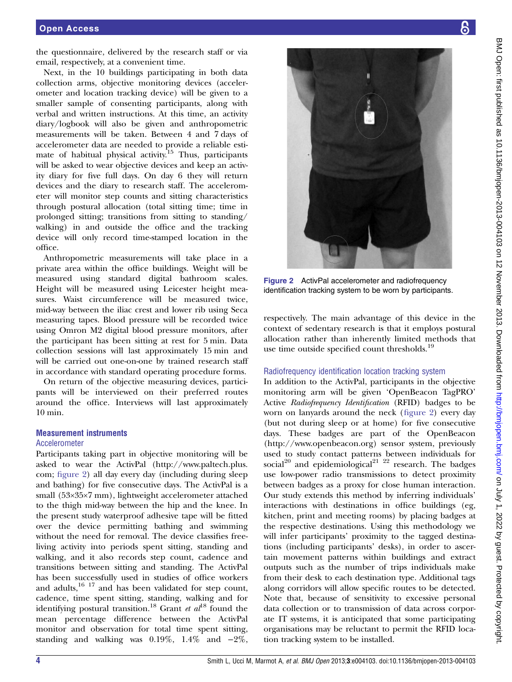the questionnaire, delivered by the research staff or via email, respectively, at a convenient time.

Next, in the 10 buildings participating in both data collection arms, objective monitoring devices (accelerometer and location tracking device) will be given to a smaller sample of consenting participants, along with verbal and written instructions. At this time, an activity diary/logbook will also be given and anthropometric measurements will be taken. Between 4 and 7 days of accelerometer data are needed to provide a reliable estimate of habitual physical activity.<sup>15</sup> Thus, participants will be asked to wear objective devices and keep an activity diary for five full days. On day 6 they will return devices and the diary to research staff. The accelerometer will monitor step counts and sitting characteristics through postural allocation (total sitting time; time in prolonged sitting; transitions from sitting to standing/ walking) in and outside the office and the tracking device will only record time-stamped location in the office.

Anthropometric measurements will take place in a private area within the office buildings. Weight will be measured using standard digital bathroom scales. Height will be measured using Leicester height measures. Waist circumference will be measured twice, mid-way between the iliac crest and lower rib using Seca measuring tapes. Blood pressure will be recorded twice using Omron M2 digital blood pressure monitors, after the participant has been sitting at rest for 5 min. Data collection sessions will last approximately 15 min and will be carried out one-on-one by trained research staff in accordance with standard operating procedure forms.

On return of the objective measuring devices, participants will be interviewed on their preferred routes around the office. Interviews will last approximately 10 min.

# Measurement instruments

#### Accelerometer

Participants taking part in objective monitoring will be asked to wear the ActivPal [\(http://www.paltech.plus.](http://www.paltech.plus.com) [com](http://www.paltech.plus.com); figure 2) all day every day (including during sleep and bathing) for five consecutive days. The ActivPal is a small (53×35×7 mm), lightweight accelerometer attached to the thigh mid-way between the hip and the knee. In the present study waterproof adhesive tape will be fitted over the device permitting bathing and swimming without the need for removal. The device classifies freeliving activity into periods spent sitting, standing and walking, and it also records step count, cadence and transitions between sitting and standing. The ActivPal has been successfully used in studies of office workers and adults, $16 \frac{17}{7}$  and has been validated for step count, cadence, time spent sitting, standing, walking and for identifying postural transition.<sup>18</sup> Grant et  $al^{18}$  found the mean percentage difference between the ActivPal monitor and observation for total time spent sitting, standing and walking was  $0.19\%$ ,  $1.4\%$  and  $-2\%$ ,



Figure 2 ActivPal accelerometer and radiofrequency identification tracking system to be worn by participants.

respectively. The main advantage of this device in the context of sedentary research is that it employs postural allocation rather than inherently limited methods that use time outside specified count thresholds.<sup>19</sup>

#### Radiofrequency identification location tracking system

In addition to the ActivPal, participants in the objective monitoring arm will be given 'OpenBeacon TagPRO' Active Radiofrequency Identification (RFID) badges to be worn on lanyards around the neck (figure 2) every day (but not during sleep or at home) for five consecutive days. These badges are part of the OpenBeacon [\(http://www.openbeacon.org](http://www.openbeacon.org)) sensor system, previously used to study contact patterns between individuals for social<sup>20</sup> and epidemiological<sup>21</sup>  $^{22}$  research. The badges use low-power radio transmissions to detect proximity between badges as a proxy for close human interaction. Our study extends this method by inferring individuals' interactions with destinations in office buildings (eg, kitchen, print and meeting rooms) by placing badges at the respective destinations. Using this methodology we will infer participants' proximity to the tagged destinations (including participants' desks), in order to ascertain movement patterns within buildings and extract outputs such as the number of trips individuals make from their desk to each destination type. Additional tags along corridors will allow specific routes to be detected. Note that, because of sensitivity to excessive personal data collection or to transmission of data across corporate IT systems, it is anticipated that some participating organisations may be reluctant to permit the RFID location tracking system to be installed.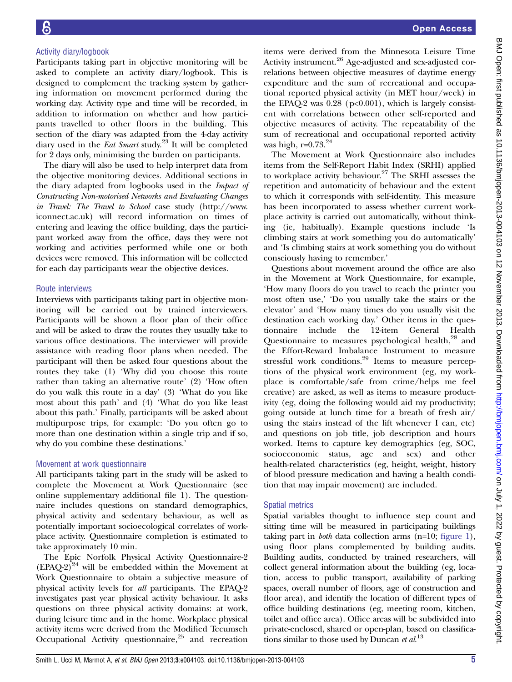### Activity diary/logbook

Participants taking part in objective monitoring will be asked to complete an activity diary/logbook. This is designed to complement the tracking system by gathering information on movement performed during the working day. Activity type and time will be recorded, in addition to information on whether and how participants travelled to other floors in the building. This section of the diary was adapted from the 4-day activity diary used in the *Eat Smart* study.<sup>23</sup> It will be completed for 2 days only, minimising the burden on participants.

The diary will also be used to help interpret data from the objective monitoring devices. Additional sections in the diary adapted from logbooks used in the Impact of Constructing Non-motorised Networks and Evaluating Changes in Travel: The Travel to School case study ([http://www.](http://www.iconnect.ac.uk) [iconnect.ac.uk](http://www.iconnect.ac.uk)) will record information on times of entering and leaving the office building, days the participant worked away from the office, days they were not working and activities performed while one or both devices were removed. This information will be collected for each day participants wear the objective devices.

# Route interviews

Interviews with participants taking part in objective monitoring will be carried out by trained interviewers. Participants will be shown a floor plan of their office and will be asked to draw the routes they usually take to various office destinations. The interviewer will provide assistance with reading floor plans when needed. The participant will then be asked four questions about the routes they take (1) 'Why did you choose this route rather than taking an alternative route' (2) 'How often do you walk this route in a day' (3) 'What do you like most about this path' and (4) 'What do you like least about this path.' Finally, participants will be asked about multipurpose trips, for example: 'Do you often go to more than one destination within a single trip and if so, why do you combine these destinations.'

# Movement at work questionnaire

All participants taking part in the study will be asked to complete the Movement at Work Questionnaire (see online supplementary additional file 1). The questionnaire includes questions on standard demographics, physical activity and sedentary behaviour, as well as potentially important socioecological correlates of workplace activity. Questionnaire completion is estimated to take approximately 10 min.

The Epic Norfolk Physical Activity Questionnaire-2  $EPAO-2$ <sup>24</sup> will be embedded within the Movement at Work Questionnaire to obtain a subjective measure of physical activity levels for all participants. The EPAQ-2 investigates past year physical activity behaviour. It asks questions on three physical activity domains: at work, during leisure time and in the home. Workplace physical activity items were derived from the Modified Tecumseh Occupational Activity questionnaire, $25$  and recreation

items were derived from the Minnesota Leisure Time Activity instrument.<sup>26</sup> Age-adjusted and sex-adjusted correlations between objective measures of daytime energy expenditure and the sum of recreational and occupational reported physical activity (in MET hour/week) in the EPAQ-2 was  $0.28$  ( $p<0.001$ ), which is largely consistent with correlations between other self-reported and objective measures of activity. The repeatability of the sum of recreational and occupational reported activity was high, r=0.73.<sup>24</sup>

The Movement at Work Questionnaire also includes items from the Self-Report Habit Index (SRHI) applied to workplace activity behaviour.<sup>27</sup> The SRHI assesses the repetition and automaticity of behaviour and the extent to which it corresponds with self-identity. This measure has been incorporated to assess whether current workplace activity is carried out automatically, without thinking (ie, habitually). Example questions include 'Is climbing stairs at work something you do automatically' and 'Is climbing stairs at work something you do without consciously having to remember.'

Questions about movement around the office are also in the Movement at Work Questionnaire, for example, 'How many floors do you travel to reach the printer you most often use,' 'Do you usually take the stairs or the elevator' and 'How many times do you usually visit the destination each working day.' Other items in the questionnaire include the 12-item General Health Questionnaire to measures psychological health, $28$  and the Effort-Reward Imbalance Instrument to measure stressful work conditions.<sup>29</sup> Items to measure perceptions of the physical work environment (eg, my workplace is comfortable/safe from crime/helps me feel creative) are asked, as well as items to measure productivity (eg, doing the following would aid my productivity; going outside at lunch time for a breath of fresh air/ using the stairs instead of the lift whenever I can, etc) and questions on job title, job description and hours worked. Items to capture key demographics (eg, SOC, socioeconomic status, age and sex) and other health-related characteristics (eg, height, weight, history of blood pressure medication and having a health condition that may impair movement) are included.

# Spatial metrics

Spatial variables thought to influence step count and sitting time will be measured in participating buildings taking part in *both* data collection arms  $(n=10;$  figure 1), using floor plans complemented by building audits. Building audits, conducted by trained researchers, will collect general information about the building (eg, location, access to public transport, availability of parking spaces, overall number of floors, age of construction and floor area), and identify the location of different types of office building destinations (eg, meeting room, kitchen, toilet and office area). Office areas will be subdivided into private-enclosed, shared or open-plan, based on classifications similar to those used by Duncan et  $al^{13}$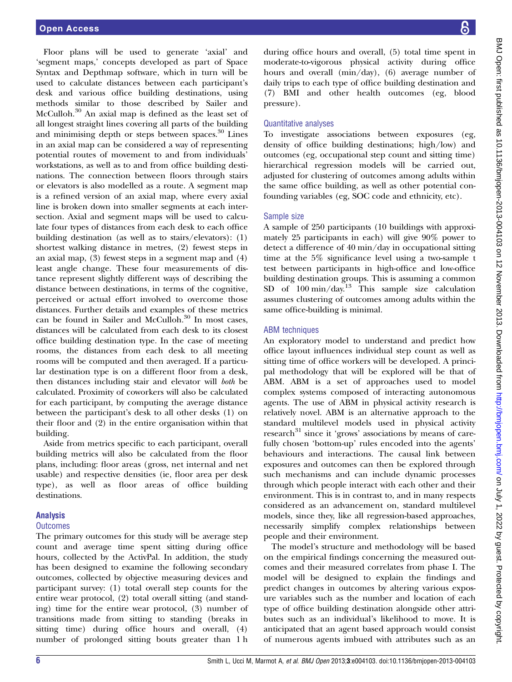Floor plans will be used to generate 'axial' and 'segment maps,' concepts developed as part of Space Syntax and Depthmap software, which in turn will be used to calculate distances between each participant's desk and various office building destinations, using methods similar to those described by Sailer and McCulloh.<sup>30</sup> An axial map is defined as the least set of all longest straight lines covering all parts of the building and minimising depth or steps between spaces.<sup>30</sup> Lines in an axial map can be considered a way of representing potential routes of movement to and from individuals' workstations, as well as to and from office building destinations. The connection between floors through stairs or elevators is also modelled as a route. A segment map is a refined version of an axial map, where every axial line is broken down into smaller segments at each intersection. Axial and segment maps will be used to calculate four types of distances from each desk to each office building destination (as well as to stairs/elevators): (1) shortest walking distance in metres, (2) fewest steps in an axial map, (3) fewest steps in a segment map and (4) least angle change. These four measurements of distance represent slightly different ways of describing the distance between destinations, in terms of the cognitive, perceived or actual effort involved to overcome those distances. Further details and examples of these metrics can be found in Sailer and McCulloh.<sup>30</sup> In most cases, distances will be calculated from each desk to its closest office building destination type. In the case of meeting rooms, the distances from each desk to all meeting rooms will be computed and then averaged. If a particular destination type is on a different floor from a desk, then distances including stair and elevator will both be calculated. Proximity of coworkers will also be calculated for each participant, by computing the average distance between the participant's desk to all other desks (1) on their floor and (2) in the entire organisation within that building.

Aside from metrics specific to each participant, overall building metrics will also be calculated from the floor plans, including: floor areas (gross, net internal and net usable) and respective densities (ie, floor area per desk type), as well as floor areas of office building destinations.

# Analysis

# **Outcomes**

The primary outcomes for this study will be average step count and average time spent sitting during office hours, collected by the ActivPal. In addition, the study has been designed to examine the following secondary outcomes, collected by objective measuring devices and participant survey: (1) total overall step counts for the entire wear protocol, (2) total overall sitting (and standing) time for the entire wear protocol, (3) number of transitions made from sitting to standing (breaks in sitting time) during office hours and overall, (4) number of prolonged sitting bouts greater than 1 h during office hours and overall, (5) total time spent in moderate-to-vigorous physical activity during office hours and overall (min/day), (6) average number of daily trips to each type of office building destination and (7) BMI and other health outcomes (eg, blood pressure).

# Quantitative analyses

To investigate associations between exposures (eg, density of office building destinations; high/low) and outcomes (eg, occupational step count and sitting time) hierarchical regression models will be carried out, adjusted for clustering of outcomes among adults within the same office building, as well as other potential confounding variables (eg, SOC code and ethnicity, etc).

# Sample size

A sample of 250 participants (10 buildings with approximately 25 participants in each) will give 90% power to detect a difference of 40 min/day in occupational sitting time at the 5% significance level using a two-sample t test between participants in high-office and low-office building destination groups. This is assuming a common SD of  $100 \text{ min/day}$ <sup>13</sup> This sample size calculation assumes clustering of outcomes among adults within the same office-building is minimal.

# ABM techniques

An exploratory model to understand and predict how office layout influences individual step count as well as sitting time of office workers will be developed. A principal methodology that will be explored will be that of ABM. ABM is a set of approaches used to model complex systems composed of interacting autonomous agents. The use of ABM in physical activity research is relatively novel. ABM is an alternative approach to the standard multilevel models used in physical activity research<sup>31</sup> since it 'grows' associations by means of carefully chosen 'bottom-up' rules encoded into the agents' behaviours and interactions. The causal link between exposures and outcomes can then be explored through such mechanisms and can include dynamic processes through which people interact with each other and their environment. This is in contrast to, and in many respects considered as an advancement on, standard multilevel models, since they, like all regression-based approaches, necessarily simplify complex relationships between people and their environment.

The model's structure and methodology will be based on the empirical findings concerning the measured outcomes and their measured correlates from phase I. The model will be designed to explain the findings and predict changes in outcomes by altering various exposure variables such as the number and location of each type of office building destination alongside other attributes such as an individual's likelihood to move. It is anticipated that an agent based approach would consist of numerous agents imbued with attributes such as an